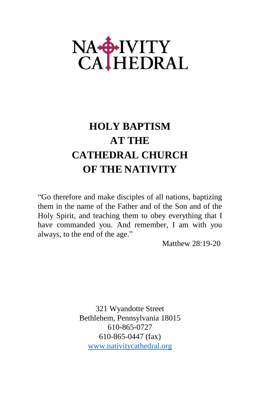# NA-HIVITY<br>CALHEDRAL

## **HOLY BAPTISM AT THE CATHEDRAL CHURCH OF THE NATIVITY**

"Go therefore and make disciples of all nations, baptizing them in the name of the Father and of the Son and of the Holy Spirit, and teaching them to obey everything that I have commanded you. And remember, I am with you always, to the end of the age."

Matthew 28:19-20

321 Wyandotte Street Bethlehem, Pennsylvania 18015 610-865-0727 610-865-0447 (fax) <www.nativitycathedral.org>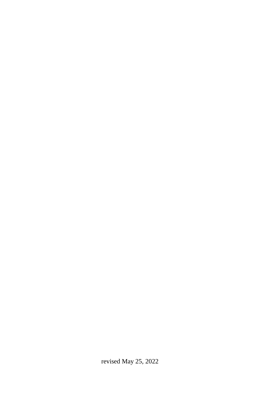revised May 25, 2022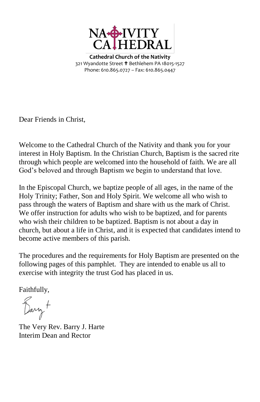

**Cathedral Church of the Nativity** 321 Wyandotte Street <sup>+</sup> Bethlehem PA 18015-1527 Phone: 610.865.0727 – Fax: 610.865.0447

Dear Friends in Christ,

Welcome to the Cathedral Church of the Nativity and thank you for your interest in Holy Baptism. In the Christian Church, Baptism is the sacred rite through which people are welcomed into the household of faith. We are all God's beloved and through Baptism we begin to understand that love.

In the Episcopal Church, we baptize people of all ages, in the name of the Holy Trinity; Father, Son and Holy Spirit. We welcome all who wish to pass through the waters of Baptism and share with us the mark of Christ. We offer instruction for adults who wish to be baptized, and for parents who wish their children to be baptized. Baptism is not about a day in church, but about a life in Christ, and it is expected that candidates intend to become active members of this parish.

The procedures and the requirements for Holy Baptism are presented on the following pages of this pamphlet. They are intended to enable us all to exercise with integrity the trust God has placed in us.

Faithfully,

Barry +

The Very Rev. Barry J. Harte Interim Dean and Rector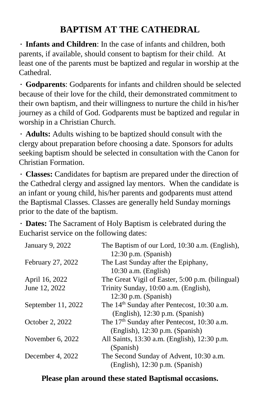## **BAPTISM AT THE CATHEDRAL**

**∙ Infants and Children**: In the case of infants and children, both parents, if available, should consent to baptism for their child. At least one of the parents must be baptized and regular in worship at the Cathedral.

**∙ Godparents**: Godparents for infants and children should be selected because of their love for the child, their demonstrated commitment to their own baptism, and their willingness to nurture the child in his/her journey as a child of God. Godparents must be baptized and regular in worship in a Christian Church.

**∙ Adults:** Adults wishing to be baptized should consult with the clergy about preparation before choosing a date. Sponsors for adults seeking baptism should be selected in consultation with the Canon for Christian Formation.

∙ **Classes:** Candidates for baptism are prepared under the direction of the Cathedral clergy and assigned lay mentors. When the candidate is an infant or young child, his/her parents and godparents must attend the Baptismal Classes. Classes are generally held Sunday mornings prior to the date of the baptism.

**∙ Dates:** The Sacrament of Holy Baptism is celebrated during the Eucharist service on the following dates:

| January 9, 2022    | The Baptism of our Lord, 10:30 a.m. (English),<br>$12:30$ p.m. (Spanish) |  |  |
|--------------------|--------------------------------------------------------------------------|--|--|
| February 27, 2022  | The Last Sunday after the Epiphany,                                      |  |  |
|                    | $10:30$ a.m. (English)                                                   |  |  |
| April 16, 2022     | The Great Vigil of Easter, 5:00 p.m. (bilingual)                         |  |  |
| June 12, 2022      | Trinity Sunday, 10:00 a.m. (English),                                    |  |  |
|                    | $12:30$ p.m. (Spanish)                                                   |  |  |
| September 11, 2022 | The 14 <sup>th</sup> Sunday after Pentecost, 10:30 a.m.                  |  |  |
|                    | (English), 12:30 p.m. (Spanish)                                          |  |  |
| October 2, 2022    | The $17th$ Sunday after Pentecost, 10:30 a.m.                            |  |  |
|                    | (English), 12:30 p.m. (Spanish)                                          |  |  |
| November 6, 2022   | All Saints, 13:30 a.m. (English), 12:30 p.m.                             |  |  |
|                    | (Spanish)                                                                |  |  |
| December 4, 2022   | The Second Sunday of Advent, 10:30 a.m.                                  |  |  |
|                    | (English), 12:30 p.m. (Spanish)                                          |  |  |

#### **Please plan around these stated Baptismal occasions.**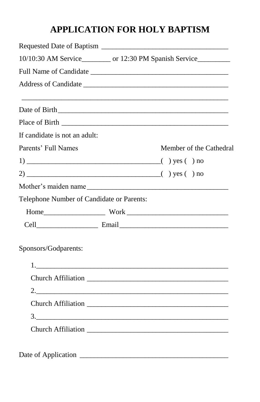## **APPLICATION FOR HOLY BAPTISM**

| 10/10:30 AM Service__________ or 12:30 PM Spanish Service__________ |  |                         |  |  |  |  |
|---------------------------------------------------------------------|--|-------------------------|--|--|--|--|
|                                                                     |  |                         |  |  |  |  |
|                                                                     |  |                         |  |  |  |  |
|                                                                     |  |                         |  |  |  |  |
|                                                                     |  |                         |  |  |  |  |
| If candidate is not an adult:                                       |  |                         |  |  |  |  |
| Parents' Full Names                                                 |  | Member of the Cathedral |  |  |  |  |
|                                                                     |  |                         |  |  |  |  |
|                                                                     |  |                         |  |  |  |  |
|                                                                     |  |                         |  |  |  |  |
| Telephone Number of Candidate or Parents:                           |  |                         |  |  |  |  |
|                                                                     |  |                         |  |  |  |  |
|                                                                     |  |                         |  |  |  |  |
| Sponsors/Godparents:                                                |  |                         |  |  |  |  |
|                                                                     |  | 1.                      |  |  |  |  |
|                                                                     |  |                         |  |  |  |  |
|                                                                     |  |                         |  |  |  |  |
|                                                                     |  |                         |  |  |  |  |
|                                                                     |  | $\frac{3}{2}$           |  |  |  |  |
|                                                                     |  |                         |  |  |  |  |
|                                                                     |  |                         |  |  |  |  |
| $\sim$ $\sim$ $\sim$ $\sim$ $\sim$ $\sim$                           |  |                         |  |  |  |  |

Date of Application \_\_\_\_\_\_\_\_\_\_\_\_\_\_\_\_\_\_\_\_\_\_\_\_\_\_\_\_\_\_\_\_\_\_\_\_\_\_\_\_\_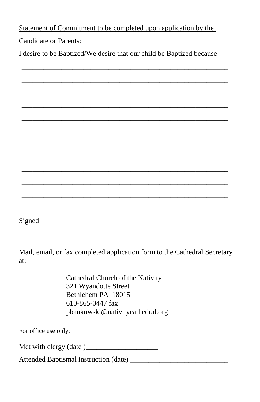Statement of Commitment to be completed upon application by the

Candidate or Parents:

I desire to be Baptized/We desire that our child be Baptized because

| Signed |  |  |  |
|--------|--|--|--|
|        |  |  |  |

Mail, email, or fax completed application form to the Cathedral Secretary at:

 $\overline{\phantom{a}}$  ,  $\overline{\phantom{a}}$  ,  $\overline{\phantom{a}}$  ,  $\overline{\phantom{a}}$  ,  $\overline{\phantom{a}}$  ,  $\overline{\phantom{a}}$  ,  $\overline{\phantom{a}}$  ,  $\overline{\phantom{a}}$  ,  $\overline{\phantom{a}}$  ,  $\overline{\phantom{a}}$  ,  $\overline{\phantom{a}}$  ,  $\overline{\phantom{a}}$  ,  $\overline{\phantom{a}}$  ,  $\overline{\phantom{a}}$  ,  $\overline{\phantom{a}}$  ,  $\overline{\phantom{a}}$ 

Cathedral Church of the Nativity 321 Wyandotte Street Bethlehem PA 18015 610-865-0447 fax pbankowski@nativitycathedral.org

For office use only:

Met with clergy  $(data)$ 

Attended Baptismal instruction (date) \_\_\_\_\_\_\_\_\_\_\_\_\_\_\_\_\_\_\_\_\_\_\_\_\_\_\_